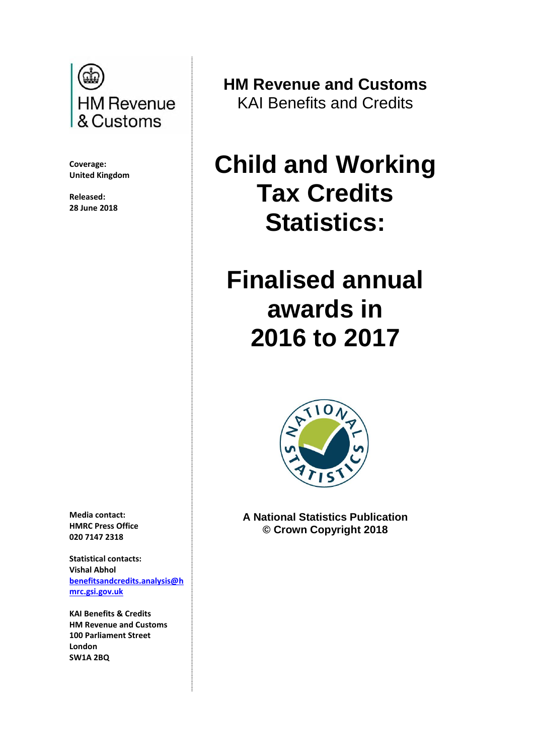

**Coverage: United Kingdom**

**Released: 28 June 2018**

**Media contact: HMRC Press Office 020 7147 2318**

**Statistical contacts: Vishal Abhol [benefitsandcredits.analysis@h](mailto:benefitsandcredits.analysis@hmrc.gsi.gov.uk) [mrc.gsi.gov.uk](mailto:benefitsandcredits.analysis@hmrc.gsi.gov.uk)**

**KAI Benefits & Credits HM Revenue and Customs 100 Parliament Street London SW1A 2BQ**

**HM Revenue and Customs** KAI Benefits and Credits

# **Child and Working Tax Credits Statistics:**

# **Finalised annual awards in 2016 to 2017**



**A National Statistics Publication © Crown Copyright 2018**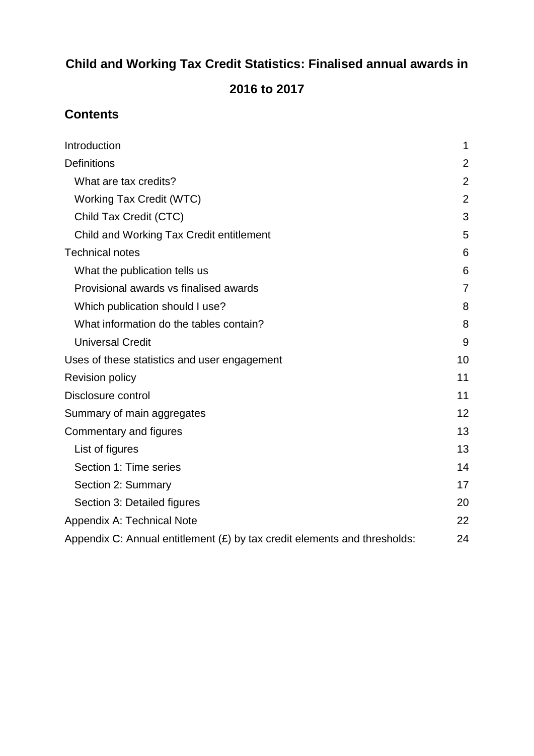## **Child and Working Tax Credit Statistics: Finalised annual awards in**

## **2016 to 2017**

## **Contents**

| Introduction                                                                | 1              |
|-----------------------------------------------------------------------------|----------------|
| Definitions                                                                 | 2              |
| What are tax credits?                                                       | $\overline{2}$ |
| <b>Working Tax Credit (WTC)</b>                                             | $\overline{2}$ |
| Child Tax Credit (CTC)                                                      | 3              |
| Child and Working Tax Credit entitlement                                    | 5              |
| <b>Technical notes</b>                                                      | 6              |
| What the publication tells us                                               | 6              |
| Provisional awards vs finalised awards                                      | $\overline{7}$ |
| Which publication should I use?                                             | 8              |
| What information do the tables contain?                                     | 8              |
| <b>Universal Credit</b>                                                     | 9              |
| Uses of these statistics and user engagement                                | 10             |
| <b>Revision policy</b>                                                      | 11             |
| Disclosure control                                                          | 11             |
| Summary of main aggregates                                                  | 12             |
| Commentary and figures                                                      | 13             |
| List of figures                                                             | 13             |
| Section 1: Time series                                                      | 14             |
| Section 2: Summary                                                          | 17             |
| Section 3: Detailed figures                                                 | 20             |
| Appendix A: Technical Note                                                  | 22             |
| Appendix C: Annual entitlement $(E)$ by tax credit elements and thresholds: | 24             |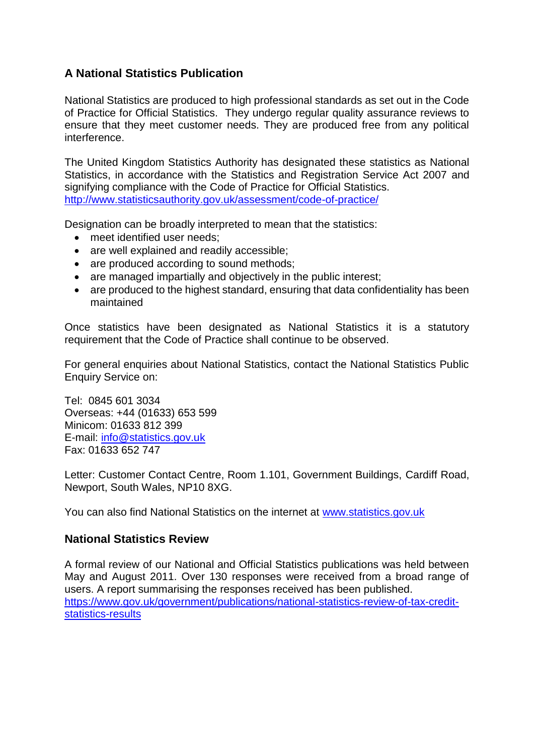#### **A National Statistics Publication**

National Statistics are produced to high professional standards as set out in the Code of Practice for Official Statistics. They undergo regular quality assurance reviews to ensure that they meet customer needs. They are produced free from any political interference.

The United Kingdom Statistics Authority has designated these statistics as National Statistics, in accordance with the Statistics and Registration Service Act 2007 and signifying compliance with the Code of Practice for Official Statistics. <http://www.statisticsauthority.gov.uk/assessment/code-of-practice/>

Designation can be broadly interpreted to mean that the statistics:

- meet identified user needs:
- are well explained and readily accessible;
- are produced according to sound methods;
- are managed impartially and objectively in the public interest;
- are produced to the highest standard, ensuring that data confidentiality has been maintained

Once statistics have been designated as National Statistics it is a statutory requirement that the Code of Practice shall continue to be observed.

For general enquiries about National Statistics, contact the National Statistics Public Enquiry Service on:

Tel: 0845 601 3034 Overseas: +44 (01633) 653 599 Minicom: 01633 812 399 E-mail: [info@statistics.gov.uk](mailto:info@statistics.gov.uk) Fax: 01633 652 747

Letter: Customer Contact Centre, Room 1.101, Government Buildings, Cardiff Road, Newport, South Wales, NP10 8XG.

You can also find National Statistics on the internet at [www.statistics.gov.uk](http://www.statistics.gov.uk/)

#### **National Statistics Review**

A formal review of our National and Official Statistics publications was held between May and August 2011. Over 130 responses were received from a broad range of users. A report summarising the responses received has been published. [https://www.gov.uk/government/publications/national-statistics-review-of-tax-credit](https://www.gov.uk/government/publications/national-statistics-review-of-tax-credit-statistics-results)[statistics-results](https://www.gov.uk/government/publications/national-statistics-review-of-tax-credit-statistics-results)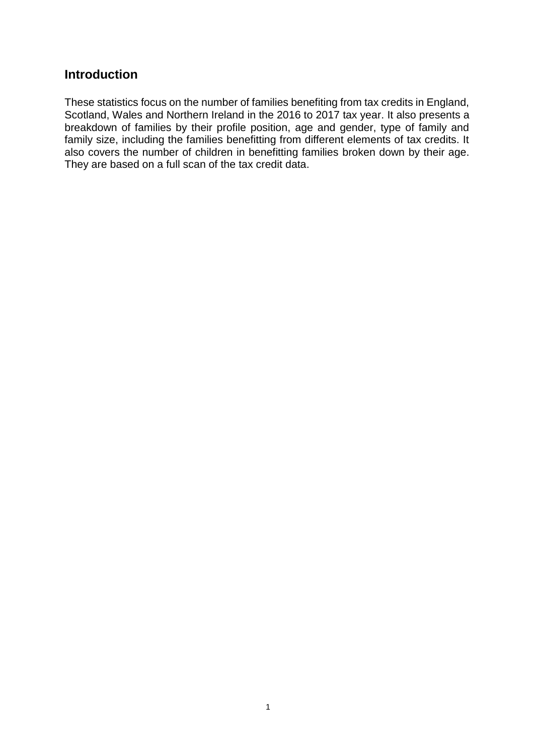#### <span id="page-3-0"></span>**Introduction**

These statistics focus on the number of families benefiting from tax credits in England, Scotland, Wales and Northern Ireland in the 2016 to 2017 tax year. It also presents a breakdown of families by their profile position, age and gender, type of family and family size, including the families benefitting from different elements of tax credits. It also covers the number of children in benefitting families broken down by their age. They are based on a full scan of the tax credit data.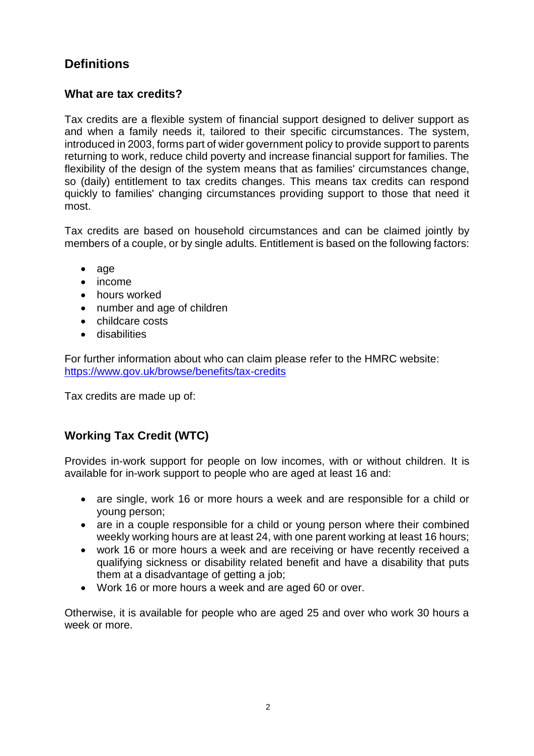## <span id="page-4-0"></span>**Definitions**

#### <span id="page-4-1"></span>**What are tax credits?**

Tax credits are a flexible system of financial support designed to deliver support as and when a family needs it, tailored to their specific circumstances. The system, introduced in 2003, forms part of wider government policy to provide support to parents returning to work, reduce child poverty and increase financial support for families. The flexibility of the design of the system means that as families' circumstances change, so (daily) entitlement to tax credits changes. This means tax credits can respond quickly to families' changing circumstances providing support to those that need it most.

Tax credits are based on household circumstances and can be claimed jointly by members of a couple, or by single adults. Entitlement is based on the following factors:

- age
- $\bullet$  income
- hours worked
- number and age of children
- childcare costs
- **•** disabilities

For further information about who can claim please refer to the HMRC website: <https://www.gov.uk/browse/benefits/tax-credits>

Tax credits are made up of:

## <span id="page-4-2"></span>**Working Tax Credit (WTC)**

Provides in-work support for people on low incomes, with or without children. It is available for in-work support to people who are aged at least 16 and:

- are single, work 16 or more hours a week and are responsible for a child or young person;
- are in a couple responsible for a child or young person where their combined weekly working hours are at least 24, with one parent working at least 16 hours;
- work 16 or more hours a week and are receiving or have recently received a qualifying sickness or disability related benefit and have a disability that puts them at a disadvantage of getting a job;
- Work 16 or more hours a week and are aged 60 or over.

Otherwise, it is available for people who are aged 25 and over who work 30 hours a week or more.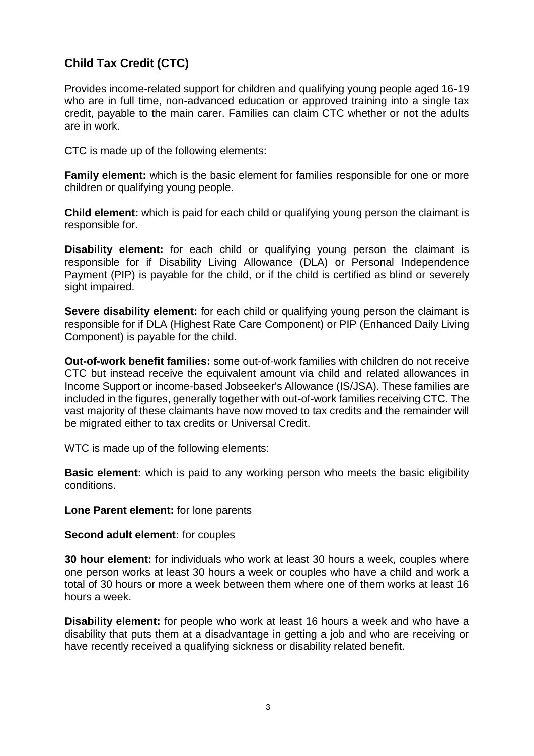### <span id="page-5-0"></span>**Child Tax Credit (CTC)**

Provides income-related support for children and qualifying young people aged 16-19 who are in full time, non-advanced education or approved training into a single tax credit, payable to the main carer. Families can claim CTC whether or not the adults are in work.

CTC is made up of the following elements:

**Family element:** which is the basic element for families responsible for one or more children or qualifying young people.

**Child element:** which is paid for each child or qualifying young person the claimant is responsible for.

**Disability element:** for each child or qualifying young person the claimant is responsible for if Disability Living Allowance (DLA) or Personal Independence Payment (PIP) is payable for the child, or if the child is certified as blind or severely sight impaired.

**Severe disability element:** for each child or qualifying young person the claimant is responsible for if DLA (Highest Rate Care Component) or PIP (Enhanced Daily Living Component) is payable for the child.

**Out-of-work benefit families:** some out-of-work families with children do not receive CTC but instead receive the equivalent amount via child and related allowances in Income Support or income-based Jobseeker's Allowance (IS/JSA). These families are included in the figures, generally together with out-of-work families receiving CTC. The vast majority of these claimants have now moved to tax credits and the remainder will be migrated either to tax credits or Universal Credit.

WTC is made up of the following elements:

**Basic element:** which is paid to any working person who meets the basic eligibility conditions.

**Lone Parent element:** for lone parents

**Second adult element:** for couples

**30 hour element:** for individuals who work at least 30 hours a week, couples where one person works at least 30 hours a week or couples who have a child and work a total of 30 hours or more a week between them where one of them works at least 16 hours a week.

**Disability element:** for people who work at least 16 hours a week and who have a disability that puts them at a disadvantage in getting a job and who are receiving or have recently received a qualifying sickness or disability related benefit.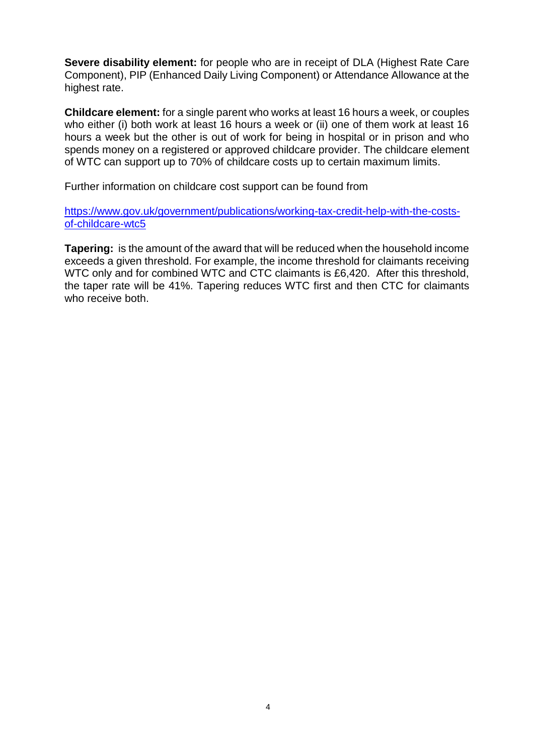**Severe disability element:** for people who are in receipt of DLA (Highest Rate Care Component), PIP (Enhanced Daily Living Component) or Attendance Allowance at the highest rate.

**Childcare element:** for a single parent who works at least 16 hours a week, or couples who either (i) both work at least 16 hours a week or (ii) one of them work at least 16 hours a week but the other is out of work for being in hospital or in prison and who spends money on a registered or approved childcare provider. The childcare element of WTC can support up to 70% of childcare costs up to certain maximum limits.

Further information on childcare cost support can be found from

[https://www.gov.uk/government/publications/working-tax-credit-help-with-the-costs](https://www.gov.uk/government/publications/working-tax-credit-help-with-the-costs-of-childcare-wtc5)[of-childcare-wtc5](https://www.gov.uk/government/publications/working-tax-credit-help-with-the-costs-of-childcare-wtc5)

**Tapering:** is the amount of the award that will be reduced when the household income exceeds a given threshold. For example, the income threshold for claimants receiving WTC only and for combined WTC and CTC claimants is £6,420. After this threshold, the taper rate will be 41%. Tapering reduces WTC first and then CTC for claimants who receive both.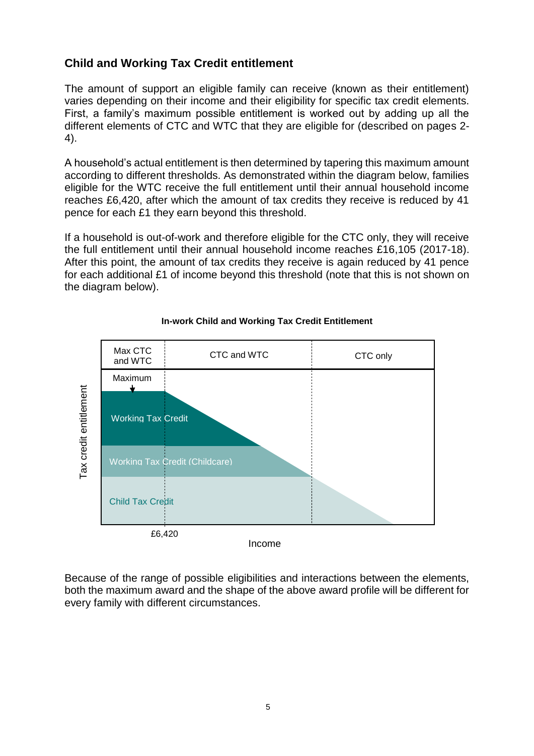#### <span id="page-7-0"></span>**Child and Working Tax Credit entitlement**

The amount of support an eligible family can receive (known as their entitlement) varies depending on their income and their eligibility for specific tax credit elements. First, a family's maximum possible entitlement is worked out by adding up all the different elements of CTC and WTC that they are eligible for (described on pages 2- 4).

A household's actual entitlement is then determined by tapering this maximum amount according to different thresholds. As demonstrated within the diagram below, families eligible for the WTC receive the full entitlement until their annual household income reaches £6,420, after which the amount of tax credits they receive is reduced by 41 pence for each £1 they earn beyond this threshold.

If a household is out-of-work and therefore eligible for the CTC only, they will receive the full entitlement until their annual household income reaches £16,105 (2017-18). After this point, the amount of tax credits they receive is again reduced by 41 pence for each additional £1 of income beyond this threshold (note that this is not shown on the diagram below).



#### **In-work Child and Working Tax Credit Entitlement**

Because of the range of possible eligibilities and interactions between the elements, both the maximum award and the shape of the above award profile will be different for every family with different circumstances.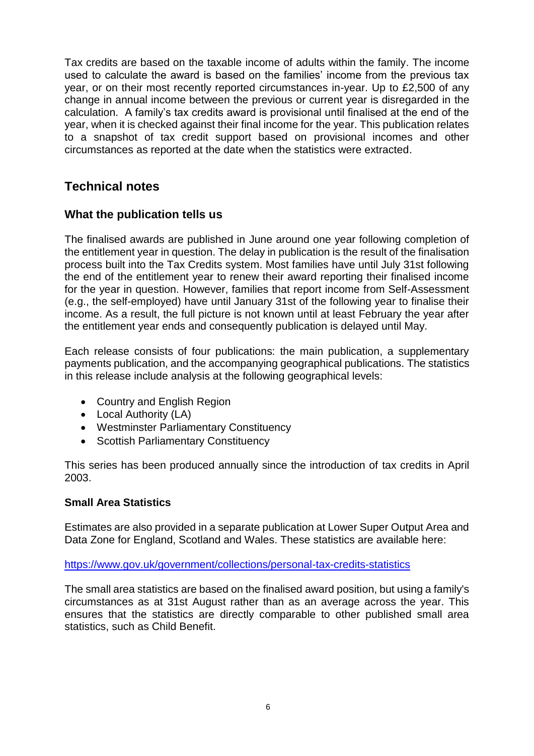Tax credits are based on the taxable income of adults within the family. The income used to calculate the award is based on the families' income from the previous tax year, or on their most recently reported circumstances in-year. Up to £2,500 of any change in annual income between the previous or current year is disregarded in the calculation. A family's tax credits award is provisional until finalised at the end of the year, when it is checked against their final income for the year. This publication relates to a snapshot of tax credit support based on provisional incomes and other circumstances as reported at the date when the statistics were extracted.

### <span id="page-8-0"></span>**Technical notes**

#### <span id="page-8-1"></span>**What the publication tells us**

The finalised awards are published in June around one year following completion of the entitlement year in question. The delay in publication is the result of the finalisation process built into the Tax Credits system. Most families have until July 31st following the end of the entitlement year to renew their award reporting their finalised income for the year in question. However, families that report income from Self-Assessment (e.g., the self-employed) have until January 31st of the following year to finalise their income. As a result, the full picture is not known until at least February the year after the entitlement year ends and consequently publication is delayed until May.

Each release consists of four publications: the main publication, a supplementary payments publication, and the accompanying geographical publications. The statistics in this release include analysis at the following geographical levels:

- Country and English Region
- Local Authority (LA)
- Westminster Parliamentary Constituency
- Scottish Parliamentary Constituency

This series has been produced annually since the introduction of tax credits in April 2003.

#### **Small Area Statistics**

Estimates are also provided in a separate publication at Lower Super Output Area and Data Zone for England, Scotland and Wales. These statistics are available here:

#### <https://www.gov.uk/government/collections/personal-tax-credits-statistics>

<span id="page-8-2"></span>The small area statistics are based on the finalised award position, but using a family's circumstances as at 31st August rather than as an average across the year. This ensures that the statistics are directly comparable to other published small area statistics, such as Child Benefit.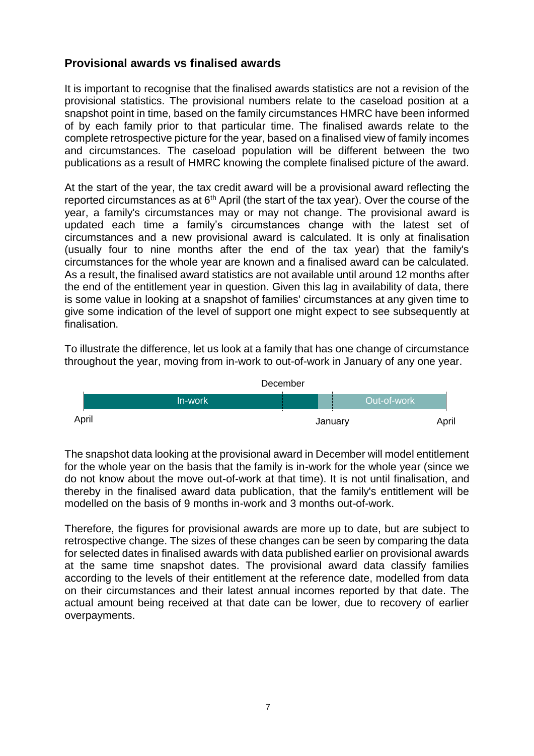#### **Provisional awards vs finalised awards**

It is important to recognise that the finalised awards statistics are not a revision of the provisional statistics. The provisional numbers relate to the caseload position at a snapshot point in time, based on the family circumstances HMRC have been informed of by each family prior to that particular time. The finalised awards relate to the complete retrospective picture for the year, based on a finalised view of family incomes and circumstances. The caseload population will be different between the two publications as a result of HMRC knowing the complete finalised picture of the award.

At the start of the year, the tax credit award will be a provisional award reflecting the reported circumstances as at  $6<sup>th</sup>$  April (the start of the tax year). Over the course of the year, a family's circumstances may or may not change. The provisional award is updated each time a family's circumstances change with the latest set of circumstances and a new provisional award is calculated. It is only at finalisation (usually four to nine months after the end of the tax year) that the family's circumstances for the whole year are known and a finalised award can be calculated. As a result, the finalised award statistics are not available until around 12 months after the end of the entitlement year in question. Given this lag in availability of data, there is some value in looking at a snapshot of families' circumstances at any given time to give some indication of the level of support one might expect to see subsequently at finalisation.

To illustrate the difference, let us look at a family that has one change of circumstance throughout the year, moving from in-work to out-of-work in January of any one year.



The snapshot data looking at the provisional award in December will model entitlement for the whole year on the basis that the family is in-work for the whole year (since we do not know about the move out-of-work at that time). It is not until finalisation, and thereby in the finalised award data publication, that the family's entitlement will be modelled on the basis of 9 months in-work and 3 months out-of-work.

<span id="page-9-0"></span>Therefore, the figures for provisional awards are more up to date, but are subject to retrospective change. The sizes of these changes can be seen by comparing the data for selected dates in finalised awards with data published earlier on provisional awards at the same time snapshot dates. The provisional award data classify families according to the levels of their entitlement at the reference date, modelled from data on their circumstances and their latest annual incomes reported by that date. The actual amount being received at that date can be lower, due to recovery of earlier overpayments.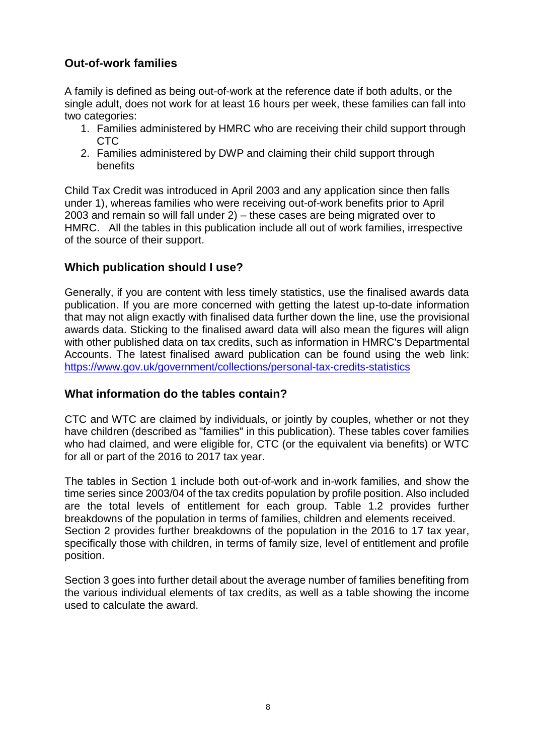#### **Out-of-work families**

A family is defined as being out-of-work at the reference date if both adults, or the single adult, does not work for at least 16 hours per week, these families can fall into two categories:

- 1. Families administered by HMRC who are receiving their child support through CTC
- 2. Families administered by DWP and claiming their child support through benefits

Child Tax Credit was introduced in April 2003 and any application since then falls under 1), whereas families who were receiving out-of-work benefits prior to April 2003 and remain so will fall under 2) – these cases are being migrated over to HMRC. All the tables in this publication include all out of work families, irrespective of the source of their support.

#### **Which publication should I use?**

Generally, if you are content with less timely statistics, use the finalised awards data publication. If you are more concerned with getting the latest up-to-date information that may not align exactly with finalised data further down the line, use the provisional awards data. Sticking to the finalised award data will also mean the figures will align with other published data on tax credits, such as information in HMRC's Departmental Accounts. The latest finalised award publication can be found using the web link: <https://www.gov.uk/government/collections/personal-tax-credits-statistics>

#### <span id="page-10-0"></span>**What information do the tables contain?**

CTC and WTC are claimed by individuals, or jointly by couples, whether or not they have children (described as "families" in this publication). These tables cover families who had claimed, and were eligible for, CTC (or the equivalent via benefits) or WTC for all or part of the 2016 to 2017 tax year.

The tables in Section 1 include both out-of-work and in-work families, and show the time series since 2003/04 of the tax credits population by profile position. Also included are the total levels of entitlement for each group. Table 1.2 provides further breakdowns of the population in terms of families, children and elements received. Section 2 provides further breakdowns of the population in the 2016 to 17 tax year, specifically those with children, in terms of family size, level of entitlement and profile position.

<span id="page-10-1"></span>Section 3 goes into further detail about the average number of families benefiting from the various individual elements of tax credits, as well as a table showing the income used to calculate the award.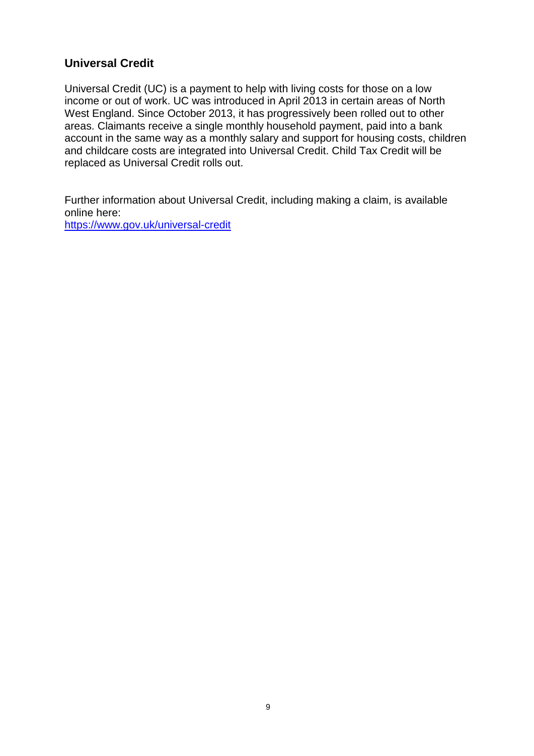#### **Universal Credit**

Universal Credit (UC) is a payment to help with living costs for those on a low income or out of work. UC was introduced in April 2013 in certain areas of North West England. Since October 2013, it has progressively been rolled out to other areas. Claimants receive a single monthly household payment, paid into a bank account in the same way as a monthly salary and support for housing costs, children and childcare costs are integrated into Universal Credit. Child Tax Credit will be replaced as Universal Credit rolls out.

Further information about Universal Credit, including making a claim, is available online here:

<https://www.gov.uk/universal-credit>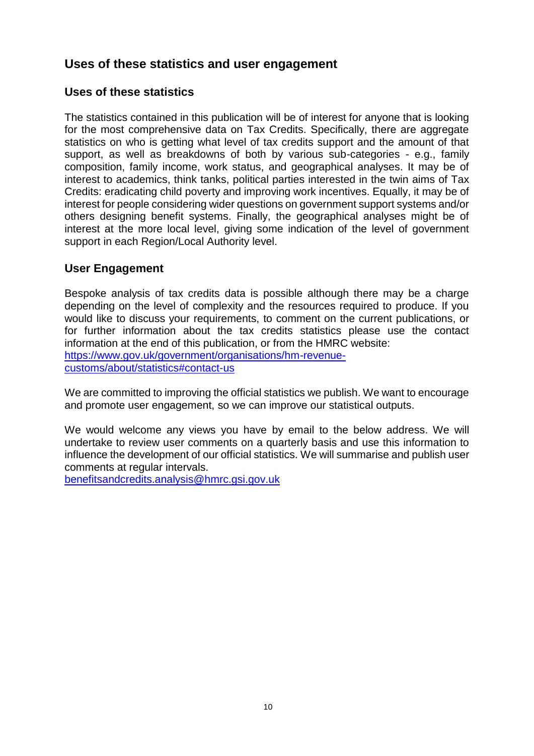## <span id="page-12-0"></span>**Uses of these statistics and user engagement**

#### **Uses of these statistics**

The statistics contained in this publication will be of interest for anyone that is looking for the most comprehensive data on Tax Credits. Specifically, there are aggregate statistics on who is getting what level of tax credits support and the amount of that support, as well as breakdowns of both by various sub-categories - e.g., family composition, family income, work status, and geographical analyses. It may be of interest to academics, think tanks, political parties interested in the twin aims of Tax Credits: eradicating child poverty and improving work incentives. Equally, it may be of interest for people considering wider questions on government support systems and/or others designing benefit systems. Finally, the geographical analyses might be of interest at the more local level, giving some indication of the level of government support in each Region/Local Authority level.

#### **User Engagement**

Bespoke analysis of tax credits data is possible although there may be a charge depending on the level of complexity and the resources required to produce. If you would like to discuss your requirements, to comment on the current publications, or for further information about the tax credits statistics please use the contact information at the end of this publication, or from the HMRC website: [https://www.gov.uk/government/organisations/hm-revenue](https://www.gov.uk/government/organisations/hm-revenue-customs/about/statistics#contact-us)[customs/about/statistics#contact-us](https://www.gov.uk/government/organisations/hm-revenue-customs/about/statistics#contact-us)

We are committed to improving the official statistics we publish. We want to encourage and promote user engagement, so we can improve our statistical outputs.

We would welcome any views you have by email to the below address. We will undertake to review user comments on a quarterly basis and use this information to influence the development of our official statistics. We will summarise and publish user comments at regular intervals.

[benefitsandcredits.analysis@hmrc.gsi.gov.uk](mailto:benefitsandcredits.analysis@hmrc.gsi.gov.uk)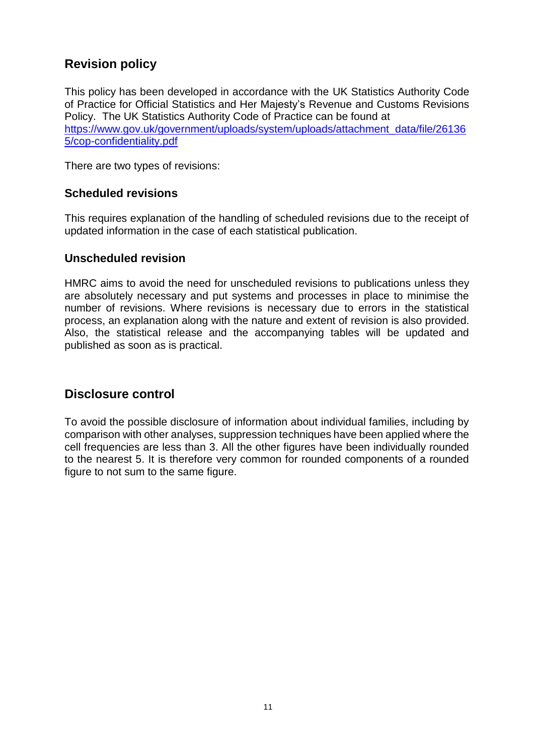## <span id="page-13-0"></span>**Revision policy**

This policy has been developed in accordance with the UK Statistics Authority Code of Practice for Official Statistics and Her Majesty's Revenue and Customs Revisions Policy. The UK Statistics Authority Code of Practice can be found at [https://www.gov.uk/government/uploads/system/uploads/attachment\\_data/file/26136](https://www.gov.uk/government/uploads/system/uploads/attachment_data/file/261365/cop-confidentiality.pdf) [5/cop-confidentiality.pdf](https://www.gov.uk/government/uploads/system/uploads/attachment_data/file/261365/cop-confidentiality.pdf)

There are two types of revisions:

#### **Scheduled revisions**

This requires explanation of the handling of scheduled revisions due to the receipt of updated information in the case of each statistical publication.

#### **Unscheduled revision**

HMRC aims to avoid the need for unscheduled revisions to publications unless they are absolutely necessary and put systems and processes in place to minimise the number of revisions. Where revisions is necessary due to errors in the statistical process, an explanation along with the nature and extent of revision is also provided. Also, the statistical release and the accompanying tables will be updated and published as soon as is practical.

#### <span id="page-13-1"></span>**Disclosure control**

To avoid the possible disclosure of information about individual families, including by comparison with other analyses, suppression techniques have been applied where the cell frequencies are less than 3. All the other figures have been individually rounded to the nearest 5. It is therefore very common for rounded components of a rounded figure to not sum to the same figure.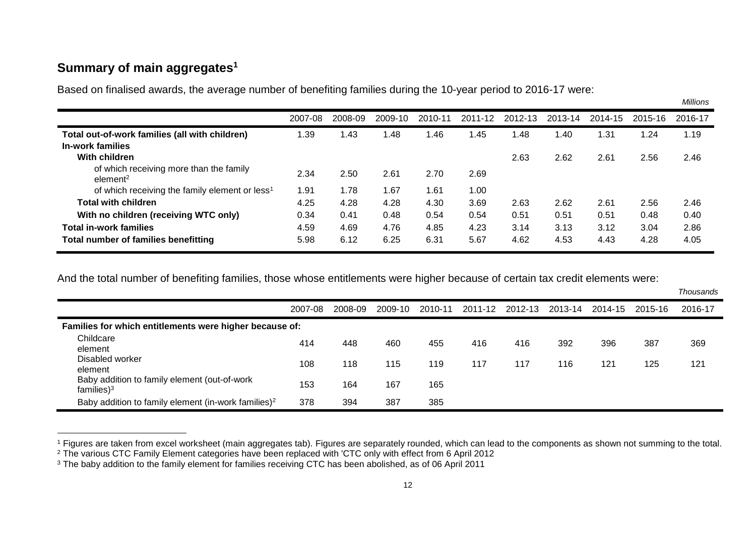## **Summary of main aggregates<sup>1</sup>**

 $\overline{a}$ 

Based on finalised awards, the average number of benefiting families during the 10-year period to 2016-17 were:

*Millions*

|                                                                 | 2007-08 | 2008-09 | 2009-10 | 2010-11 | 2011-12 | 2012-13 | 2013-14 | 2014-15 | 2015-16 | 2016-17 |
|-----------------------------------------------------------------|---------|---------|---------|---------|---------|---------|---------|---------|---------|---------|
| Total out-of-work families (all with children)                  | .39     | l .43   | 1.48    | .46     | l.45    | 1.48    | 1.40    | 1.31    | .24     | 1.19    |
| In-work families                                                |         |         |         |         |         |         |         |         |         |         |
| With children                                                   |         |         |         |         |         | 2.63    | 2.62    | 2.61    | 2.56    | 2.46    |
| of which receiving more than the family<br>element <sup>2</sup> | 2.34    | 2.50    | 2.61    | 2.70    | 2.69    |         |         |         |         |         |
| of which receiving the family element or less <sup>1</sup>      | 1.91    | 1.78    | 1.67    | 1.61    | 1.00    |         |         |         |         |         |
| <b>Total with children</b>                                      | 4.25    | 4.28    | 4.28    | 4.30    | 3.69    | 2.63    | 2.62    | 2.61    | 2.56    | 2.46    |
| With no children (receiving WTC only)                           | 0.34    | 0.41    | 0.48    | 0.54    | 0.54    | 0.51    | 0.51    | 0.51    | 0.48    | 0.40    |
| <b>Total in-work families</b>                                   | 4.59    | 4.69    | 4.76    | 4.85    | 4.23    | 3.14    | 3.13    | 3.12    | 3.04    | 2.86    |
| Total number of families benefitting                            | 5.98    | 6.12    | 6.25    | 6.31    | 5.67    | 4.62    | 4.53    | 4.43    | 4.28    | 4.05    |

<span id="page-14-0"></span>And the total number of benefiting families, those whose entitlements were higher because of certain tax credit elements were:

|                                                                 |         |         |         |         |         |         |         |         |         | Thousands |
|-----------------------------------------------------------------|---------|---------|---------|---------|---------|---------|---------|---------|---------|-----------|
|                                                                 | 2007-08 | 2008-09 | 2009-10 | 2010-11 | 2011-12 | 2012-13 | 2013-14 | 2014-15 | 2015-16 | 2016-17   |
| Families for which entitlements were higher because of:         |         |         |         |         |         |         |         |         |         |           |
| Childcare<br>element                                            | 414     | 448     | 460     | 455     | 416     | 416     | 392     | 396     | 387     | 369       |
| Disabled worker<br>element                                      | 108     | 118     | 115     | 119     | 117     | 117     | 116     | 121     | 125     | 121       |
| Baby addition to family element (out-of-work<br>families $)^3$  | 153     | 164     | 167     | 165     |         |         |         |         |         |           |
| Baby addition to family element (in-work families) <sup>2</sup> | 378     | 394     | 387     | 385     |         |         |         |         |         |           |

<sup>&</sup>lt;sup>1</sup> Figures are taken from excel worksheet (main aggregates tab). Figures are separately rounded, which can lead to the components as shown not summing to the total. <sup>2</sup> The various CTC Family Element categories have been replaced with 'CTC only with effect from 6 April 2012

<sup>&</sup>lt;sup>3</sup> The baby addition to the family element for families receiving CTC has been abolished, as of 06 April 2011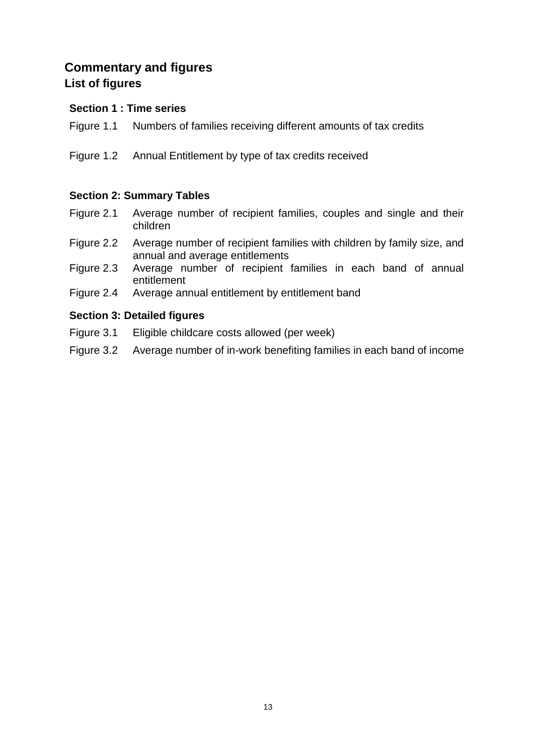## <span id="page-15-1"></span><span id="page-15-0"></span>**Commentary and figures List of figures**

#### **Section 1 : Time series**

- Figure 1.1 Numbers of families receiving different amounts of tax credits
- Figure 1.2 Annual Entitlement by type of tax credits received

#### **Section 2: Summary Tables**

- Figure 2.1 Average number of recipient families, couples and single and their children
- Figure 2.2 Average number of recipient families with children by family size, and annual and average entitlements
- Figure 2.3 Average number of recipient families in each band of annual entitlement
- Figure 2.4 Average annual entitlement by entitlement band

#### **Section 3: Detailed figures**

- Figure 3.1 Eligible childcare costs allowed (per week)
- Figure 3.2 Average number of in-work benefiting families in each band of income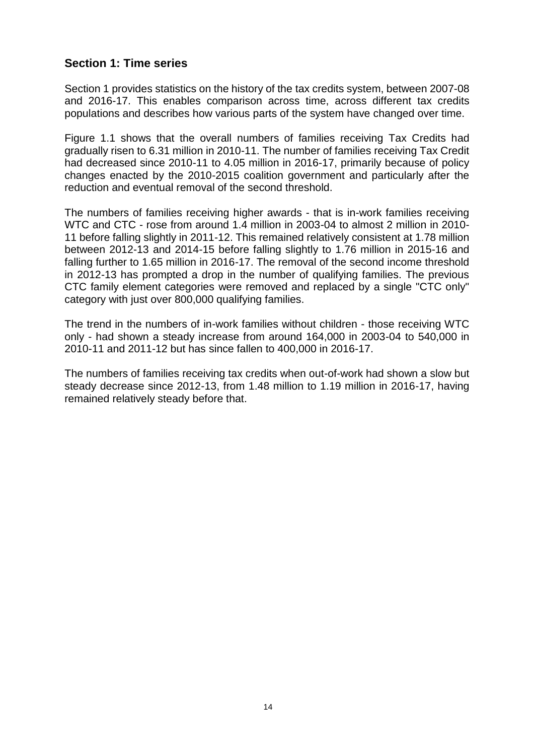#### <span id="page-16-0"></span>**Section 1: Time series**

Section 1 provides statistics on the history of the tax credits system, between 2007-08 and 2016-17. This enables comparison across time, across different tax credits populations and describes how various parts of the system have changed over time.

Figure 1.1 shows that the overall numbers of families receiving Tax Credits had gradually risen to 6.31 million in 2010-11. The number of families receiving Tax Credit had decreased since 2010-11 to 4.05 million in 2016-17, primarily because of policy changes enacted by the 2010-2015 coalition government and particularly after the reduction and eventual removal of the second threshold.

The numbers of families receiving higher awards - that is in-work families receiving WTC and CTC - rose from around 1.4 million in 2003-04 to almost 2 million in 2010- 11 before falling slightly in 2011-12. This remained relatively consistent at 1.78 million between 2012-13 and 2014-15 before falling slightly to 1.76 million in 2015-16 and falling further to 1.65 million in 2016-17. The removal of the second income threshold in 2012-13 has prompted a drop in the number of qualifying families. The previous CTC family element categories were removed and replaced by a single "CTC only" category with just over 800,000 qualifying families.

The trend in the numbers of in-work families without children - those receiving WTC only - had shown a steady increase from around 164,000 in 2003-04 to 540,000 in 2010-11 and 2011-12 but has since fallen to 400,000 in 2016-17.

The numbers of families receiving tax credits when out-of-work had shown a slow but steady decrease since 2012-13, from 1.48 million to 1.19 million in 2016-17, having remained relatively steady before that.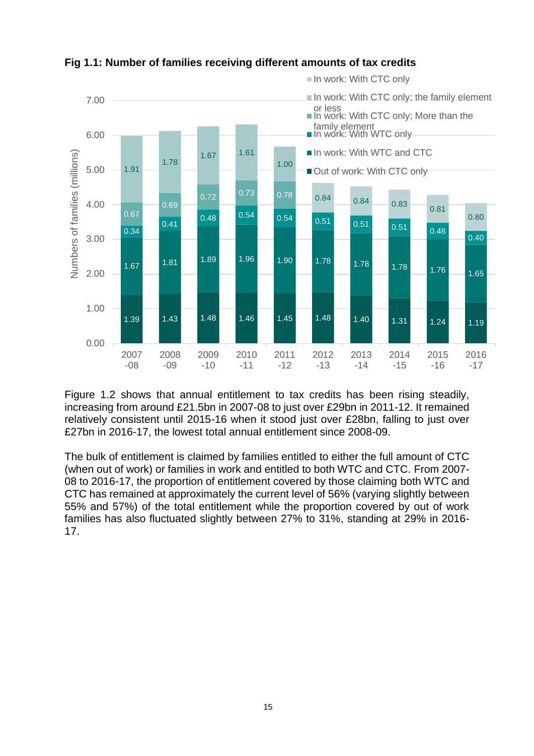

**Fig 1.1: Number of families receiving different amounts of tax credits**

Figure 1.2 shows that annual entitlement to tax credits has been rising steadily, increasing from around £21.5bn in 2007-08 to just over £29bn in 2011-12. It remained relatively consistent until 2015-16 when it stood just over £28bn, falling to just over £27bn in 2016-17, the lowest total annual entitlement since 2008-09.

The bulk of entitlement is claimed by families entitled to either the full amount of CTC (when out of work) or families in work and entitled to both WTC and CTC. From 2007- 08 to 2016-17, the proportion of entitlement covered by those claiming both WTC and CTC has remained at approximately the current level of 56% (varying slightly between 55% and 57%) of the total entitlement while the proportion covered by out of work families has also fluctuated slightly between 27% to 31%, standing at 29% in 2016- 17.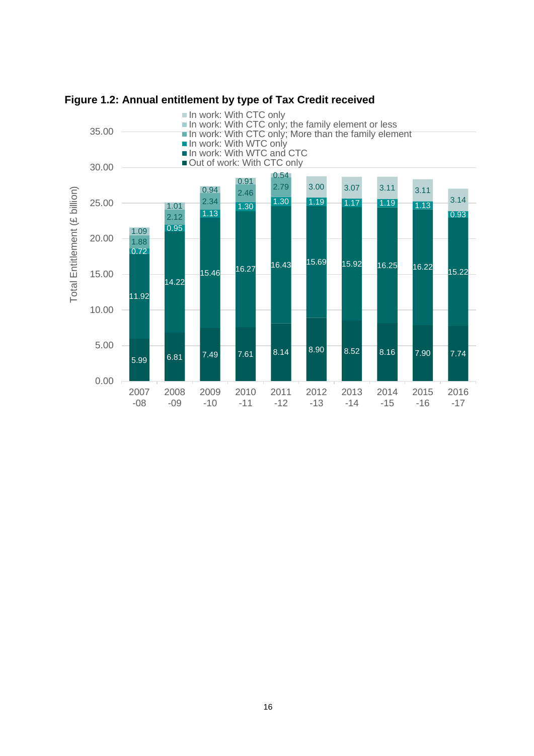

**Figure 1.2: Annual entitlement by type of Tax Credit received**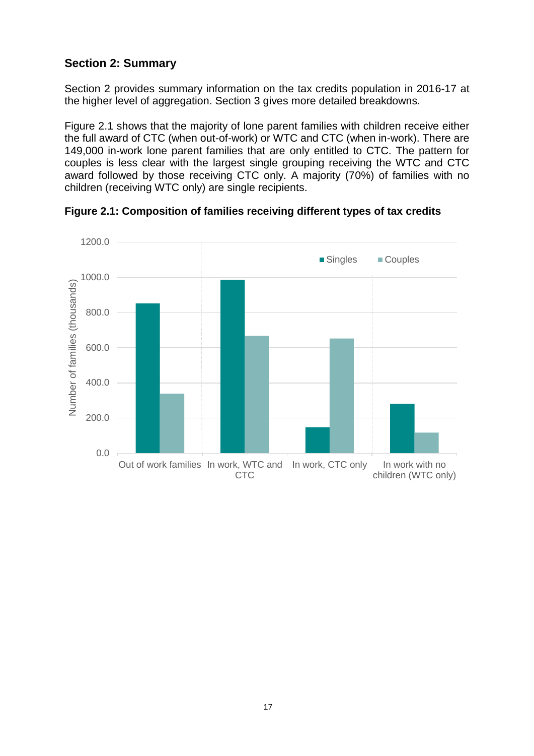#### <span id="page-19-0"></span>**Section 2: Summary**

Section 2 provides summary information on the tax credits population in 2016-17 at the higher level of aggregation. Section 3 gives more detailed breakdowns.

Figure 2.1 shows that the majority of lone parent families with children receive either the full award of CTC (when out-of-work) or WTC and CTC (when in-work). There are 149,000 in-work lone parent families that are only entitled to CTC. The pattern for couples is less clear with the largest single grouping receiving the WTC and CTC award followed by those receiving CTC only. A majority (70%) of families with no children (receiving WTC only) are single recipients.



**Figure 2.1: Composition of families receiving different types of tax credits**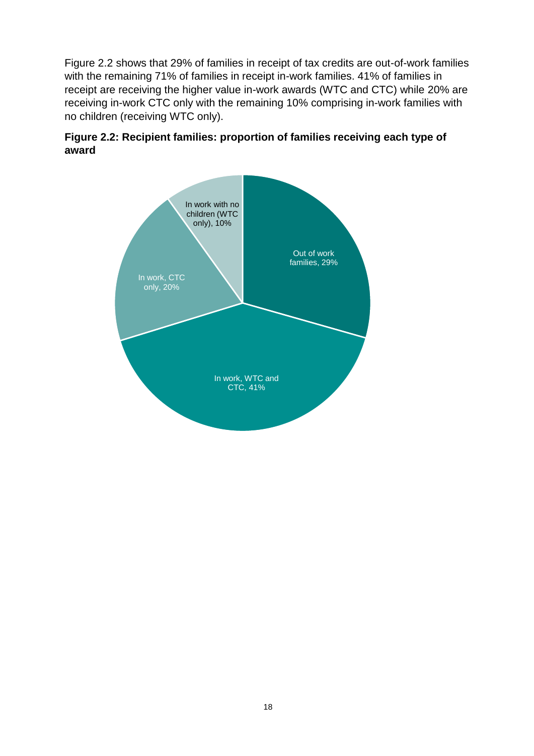Figure 2.2 shows that 29% of families in receipt of tax credits are out-of-work families with the remaining 71% of families in receipt in-work families. 41% of families in receipt are receiving the higher value in-work awards (WTC and CTC) while 20% are receiving in-work CTC only with the remaining 10% comprising in-work families with no children (receiving WTC only).



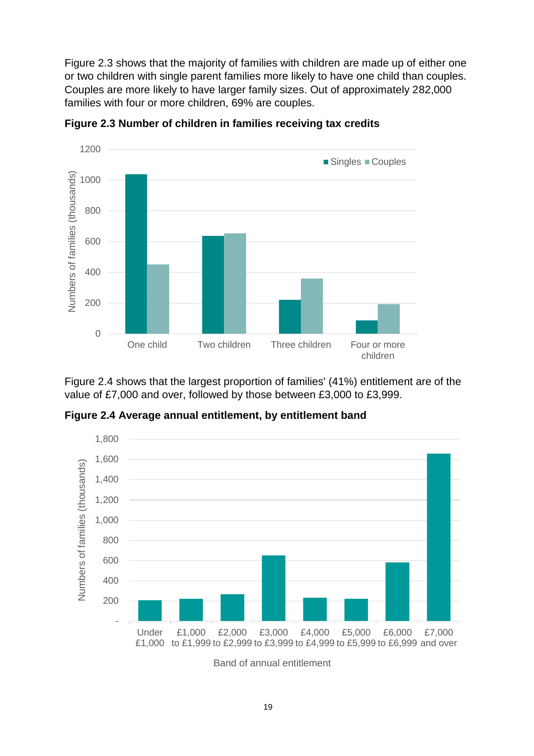Figure 2.3 shows that the majority of families with children are made up of either one or two children with single parent families more likely to have one child than couples. Couples are more likely to have larger family sizes. Out of approximately 282,000 families with four or more children, 69% are couples.



**Figure 2.3 Number of children in families receiving tax credits**

Figure 2.4 shows that the largest proportion of families' (41%) entitlement are of the value of £7,000 and over, followed by those between £3,000 to £3,999.

**Figure 2.4 Average annual entitlement, by entitlement band**



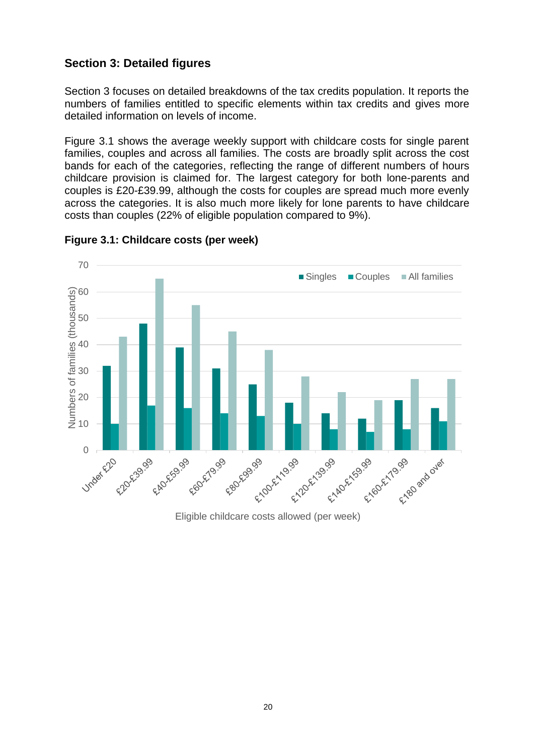#### <span id="page-22-0"></span>**Section 3: Detailed figures**

Section 3 focuses on detailed breakdowns of the tax credits population. It reports the numbers of families entitled to specific elements within tax credits and gives more detailed information on levels of income.

Figure 3.1 shows the average weekly support with childcare costs for single parent families, couples and across all families. The costs are broadly split across the cost bands for each of the categories, reflecting the range of different numbers of hours childcare provision is claimed for. The largest category for both lone-parents and couples is £20-£39.99, although the costs for couples are spread much more evenly across the categories. It is also much more likely for lone parents to have childcare costs than couples (22% of eligible population compared to 9%).



**Figure 3.1: Childcare costs (per week)**

Eligible childcare costs allowed (per week)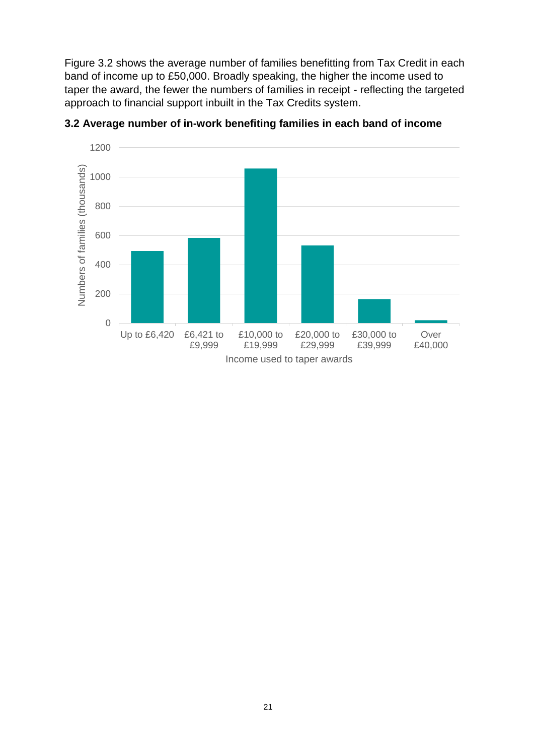Figure 3.2 shows the average number of families benefitting from Tax Credit in each band of income up to £50,000. Broadly speaking, the higher the income used to taper the award, the fewer the numbers of families in receipt - reflecting the targeted approach to financial support inbuilt in the Tax Credits system.



**3.2 Average number of in-work benefiting families in each band of income**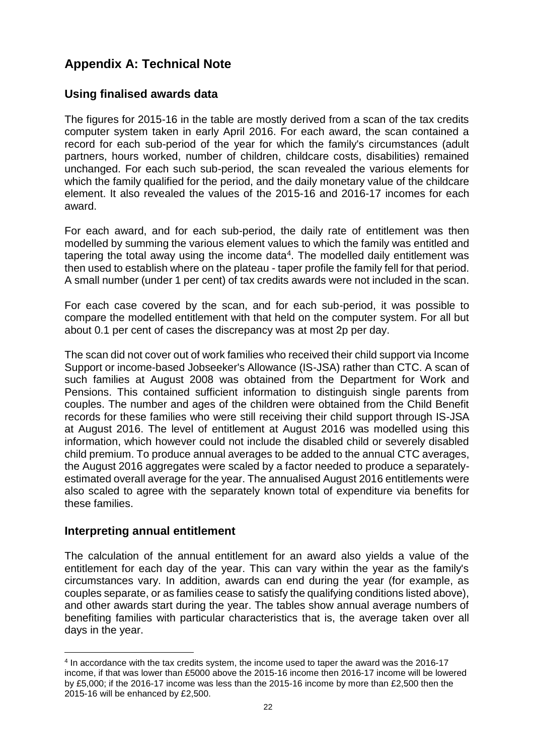## <span id="page-24-0"></span>**Appendix A: Technical Note**

#### **Using finalised awards data**

The figures for 2015-16 in the table are mostly derived from a scan of the tax credits computer system taken in early April 2016. For each award, the scan contained a record for each sub-period of the year for which the family's circumstances (adult partners, hours worked, number of children, childcare costs, disabilities) remained unchanged. For each such sub-period, the scan revealed the various elements for which the family qualified for the period, and the daily monetary value of the childcare element. It also revealed the values of the 2015-16 and 2016-17 incomes for each award.

For each award, and for each sub-period, the daily rate of entitlement was then modelled by summing the various element values to which the family was entitled and tapering the total away using the income data<sup>4</sup>. The modelled daily entitlement was then used to establish where on the plateau - taper profile the family fell for that period. A small number (under 1 per cent) of tax credits awards were not included in the scan.

For each case covered by the scan, and for each sub-period, it was possible to compare the modelled entitlement with that held on the computer system. For all but about 0.1 per cent of cases the discrepancy was at most 2p per day.

The scan did not cover out of work families who received their child support via Income Support or income-based Jobseeker's Allowance (IS-JSA) rather than CTC. A scan of such families at August 2008 was obtained from the Department for Work and Pensions. This contained sufficient information to distinguish single parents from couples. The number and ages of the children were obtained from the Child Benefit records for these families who were still receiving their child support through IS-JSA at August 2016. The level of entitlement at August 2016 was modelled using this information, which however could not include the disabled child or severely disabled child premium. To produce annual averages to be added to the annual CTC averages, the August 2016 aggregates were scaled by a factor needed to produce a separatelyestimated overall average for the year. The annualised August 2016 entitlements were also scaled to agree with the separately known total of expenditure via benefits for these families.

#### **Interpreting annual entitlement**

1

The calculation of the annual entitlement for an award also yields a value of the entitlement for each day of the year. This can vary within the year as the family's circumstances vary. In addition, awards can end during the year (for example, as couples separate, or as families cease to satisfy the qualifying conditions listed above), and other awards start during the year. The tables show annual average numbers of benefiting families with particular characteristics that is, the average taken over all days in the year.

<sup>4</sup> In accordance with the tax credits system, the income used to taper the award was the 2016-17 income, if that was lower than £5000 above the 2015-16 income then 2016-17 income will be lowered by £5,000; if the 2016-17 income was less than the 2015-16 income by more than £2,500 then the 2015-16 will be enhanced by £2,500.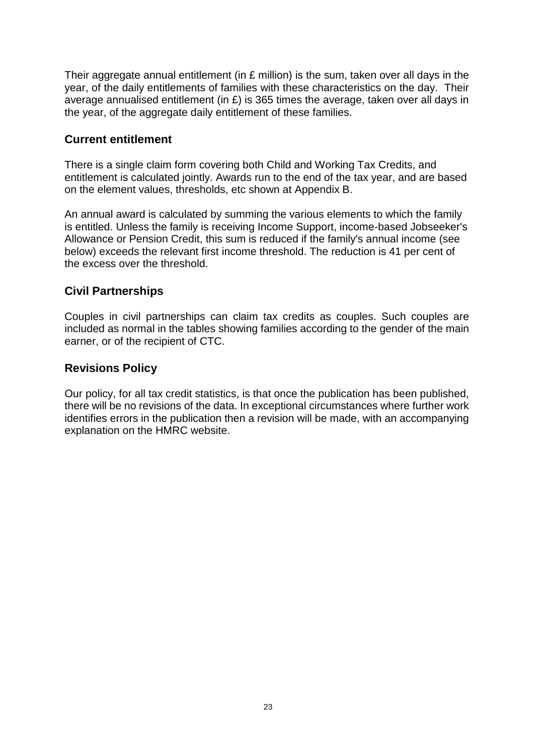Their aggregate annual entitlement (in £ million) is the sum, taken over all days in the year, of the daily entitlements of families with these characteristics on the day. Their average annualised entitlement (in £) is 365 times the average, taken over all days in the year, of the aggregate daily entitlement of these families.

#### **Current entitlement**

There is a single claim form covering both Child and Working Tax Credits, and entitlement is calculated jointly. Awards run to the end of the tax year, and are based on the element values, thresholds, etc shown at Appendix B.

An annual award is calculated by summing the various elements to which the family is entitled. Unless the family is receiving Income Support, income-based Jobseeker's Allowance or Pension Credit, this sum is reduced if the family's annual income (see below) exceeds the relevant first income threshold. The reduction is 41 per cent of the excess over the threshold.

#### **Civil Partnerships**

Couples in civil partnerships can claim tax credits as couples. Such couples are included as normal in the tables showing families according to the gender of the main earner, or of the recipient of CTC.

#### **Revisions Policy**

Our policy, for all tax credit statistics, is that once the publication has been published, there will be no revisions of the data. In exceptional circumstances where further work identifies errors in the publication then a revision will be made, with an accompanying explanation on the HMRC website.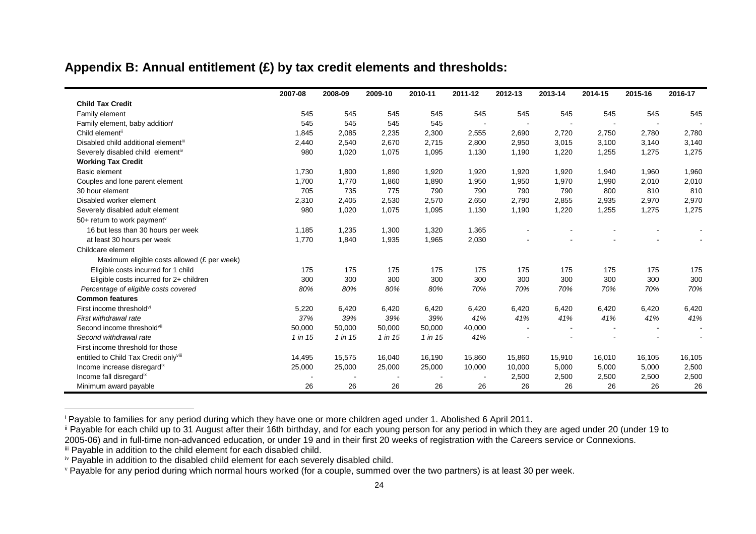#### **Appendix B: Annual entitlement (£) by tax credit elements and thresholds:**

|                                             | 2007-08 | 2008-09 | 2009-10 | 2010-11 | 2011-12 | 2012-13 | 2013-14 | 2014-15 | 2015-16 | 2016-17 |
|---------------------------------------------|---------|---------|---------|---------|---------|---------|---------|---------|---------|---------|
| <b>Child Tax Credit</b>                     |         |         |         |         |         |         |         |         |         |         |
| Family element                              | 545     | 545     | 545     | 545     | 545     | 545     | 545     | 545     | 545     | 545     |
| Family element, baby addition               | 545     | 545     | 545     | 545     |         |         |         |         |         |         |
| Child elementii                             | 1,845   | 2,085   | 2,235   | 2,300   | 2,555   | 2,690   | 2,720   | 2,750   | 2,780   | 2,780   |
| Disabled child additional elementiii        | 2,440   | 2,540   | 2,670   | 2,715   | 2,800   | 2,950   | 3,015   | 3,100   | 3,140   | 3,140   |
| Severely disabled child elementiv           | 980     | 1,020   | 1,075   | 1,095   | 1,130   | 1,190   | 1,220   | 1,255   | 1,275   | 1,275   |
| <b>Working Tax Credit</b>                   |         |         |         |         |         |         |         |         |         |         |
| <b>Basic element</b>                        | 1,730   | 1,800   | 1,890   | 1,920   | 1,920   | 1,920   | 1,920   | 1,940   | 1,960   | 1,960   |
| Couples and lone parent element             | 1,700   | 1,770   | 1,860   | 1,890   | 1,950   | 1,950   | 1,970   | 1,990   | 2,010   | 2,010   |
| 30 hour element                             | 705     | 735     | 775     | 790     | 790     | 790     | 790     | 800     | 810     | 810     |
| Disabled worker element                     | 2,310   | 2,405   | 2,530   | 2,570   | 2,650   | 2,790   | 2,855   | 2,935   | 2,970   | 2,970   |
| Severely disabled adult element             | 980     | 1,020   | 1,075   | 1,095   | 1,130   | 1,190   | 1,220   | 1,255   | 1,275   | 1,275   |
| 50+ return to work payment <sup>v</sup>     |         |         |         |         |         |         |         |         |         |         |
| 16 but less than 30 hours per week          | 1,185   | 1,235   | 1,300   | 1,320   | 1,365   |         |         |         |         |         |
| at least 30 hours per week                  | 1,770   | 1,840   | 1,935   | 1,965   | 2,030   |         |         |         |         |         |
| Childcare element                           |         |         |         |         |         |         |         |         |         |         |
| Maximum eligible costs allowed (£ per week) |         |         |         |         |         |         |         |         |         |         |
| Eligible costs incurred for 1 child         | 175     | 175     | 175     | 175     | 175     | 175     | 175     | 175     | 175     | 175     |
| Eligible costs incurred for 2+ children     | 300     | 300     | 300     | 300     | 300     | 300     | 300     | 300     | 300     | 300     |
| Percentage of eligible costs covered        | 80%     | 80%     | 80%     | 80%     | 70%     | 70%     | 70%     | 70%     | 70%     | 70%     |
| <b>Common features</b>                      |         |         |         |         |         |         |         |         |         |         |
| First income threshold <sup>vi</sup>        | 5,220   | 6,420   | 6,420   | 6,420   | 6,420   | 6,420   | 6,420   | 6,420   | 6,420   | 6,420   |
| First withdrawal rate                       | 37%     | 39%     | 39%     | 39%     | 41%     | 41%     | 41%     | 41%     | 41%     | 41%     |
| Second income threshold <sup>vii</sup>      | 50,000  | 50,000  | 50,000  | 50,000  | 40,000  |         |         |         |         |         |
| Second withdrawal rate                      | 1 in 15 | 1 in 15 | 1 in 15 | 1 in 15 | 41%     |         |         |         |         |         |
| First income threshold for those            |         |         |         |         |         |         |         |         |         |         |
| entitled to Child Tax Credit onlyviii       | 14,495  | 15,575  | 16,040  | 16,190  | 15,860  | 15,860  | 15,910  | 16,010  | 16,105  | 16,105  |
| Income increase disregardix                 | 25,000  | 25,000  | 25,000  | 25,000  | 10,000  | 10,000  | 5,000   | 5,000   | 5,000   | 2,500   |
| Income fall disregardix                     |         |         |         |         |         | 2,500   | 2,500   | 2,500   | 2,500   | 2,500   |
| Minimum award payable                       | 26      | 26      | 26      | 26      | 26      | 26      | 26      | 26      | 26      | 26      |

<sup>i</sup> Payable to families for any period during which they have one or more children aged under 1. Abolished 6 April 2011.

<span id="page-26-0"></span> $\overline{a}$ 

ii Payable for each child up to 31 August after their 16th birthday, and for each young person for any period in which they are aged under 20 (under 19 to 2005-06) and in full-time non-advanced education, or under 19 and in their first 20 weeks of registration with the Careers service or Connexions.

iii Payable in addition to the child element for each disabled child.

iv Payable in addition to the disabled child element for each severely disabled child.

v Payable for any period during which normal hours worked (for a couple, summed over the two partners) is at least 30 per week.